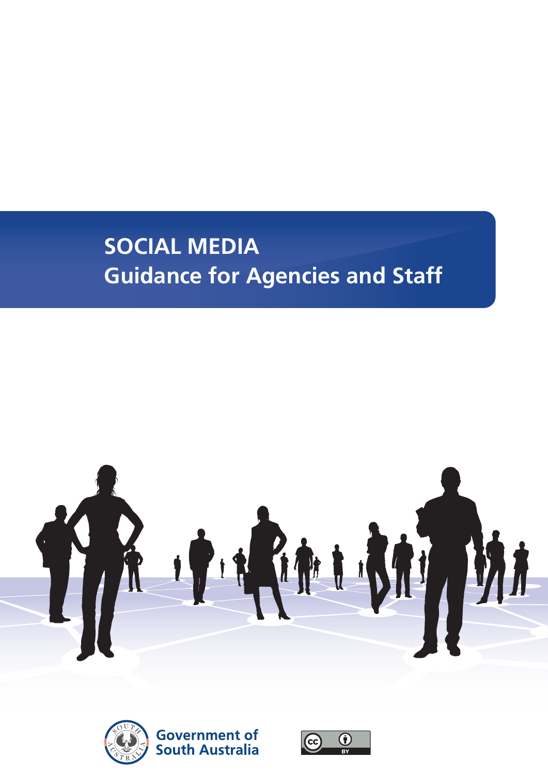## **SOCIAL MEDIA Guidance for Agencies and Staff**





**Government of South Australia** 

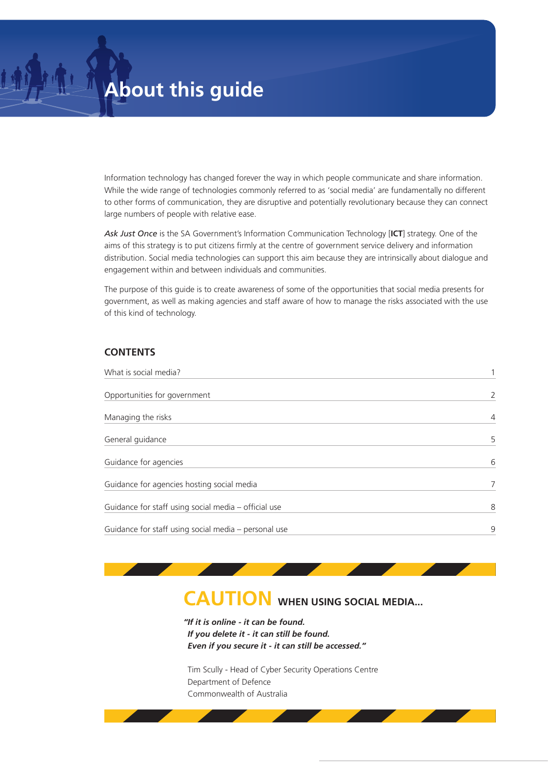Information technology has changed forever the way in which people communicate and share information. While the wide range of technologies commonly referred to as 'social media' are fundamentally no different to other forms of communication, they are disruptive and potentially revolutionary because they can connect large numbers of people with relative ease.

*Ask Just Once* is the SA Government's Information Communication Technology [**ICT**] strategy. One of the aims of this strategy is to put citizens firmly at the centre of government service delivery and information distribution. Social media technologies can support this aim because they are intrinsically about dialogue and engagement within and between individuals and communities.

The purpose of this guide is to create awareness of some of the opportunities that social media presents for government, as well as making agencies and staff aware of how to manage the risks associated with the use of this kind of technology.

#### **CONTENTS**

| What is social media?                                |                |
|------------------------------------------------------|----------------|
| Opportunities for government                         | 2              |
| Managing the risks                                   | $\overline{4}$ |
| General guidance                                     | 5              |
| Guidance for agencies                                | 6              |
| Guidance for agencies hosting social media           | 7              |
| Guidance for staff using social media - official use | 8              |
| Guidance for staff using social media - personal use | 9              |

### **CAUTION WHEN USING SOCIAL MEDIA...**

*"If it is online - it can be found. If you delete it - it can still be found. Even if you secure it - it can still be accessed."*

Tim Scully - Head of Cyber Security Operations Centre Department of Defence Commonwealth of Australia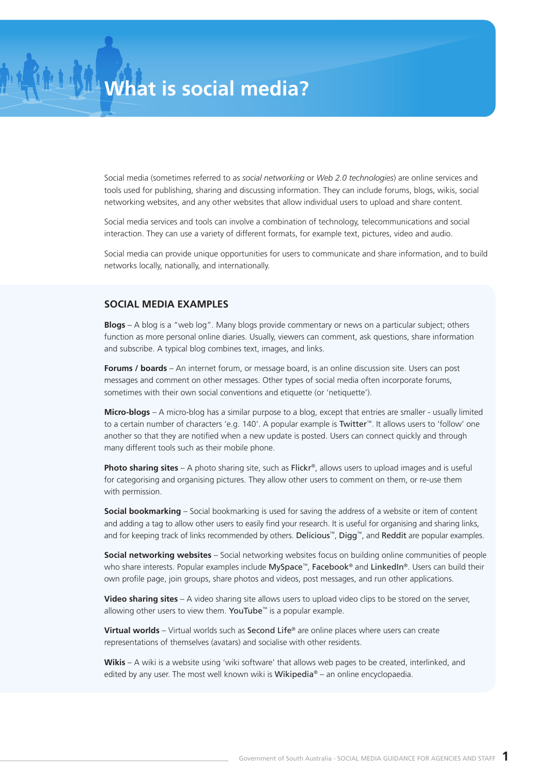Social media (sometimes referred to as *social networking* or *Web 2.0 technologies*) are online services and tools used for publishing, sharing and discussing information. They can include forums, blogs, wikis, social networking websites, and any other websites that allow individual users to upload and share content.

Social media services and tools can involve a combination of technology, telecommunications and social interaction. They can use a variety of different formats, for example text, pictures, video and audio.

Social media can provide unique opportunities for users to communicate and share information, and to build networks locally, nationally, and internationally.

#### **SOCIAL MEDIA EXAMPLES**

**Blogs** – A blog is a "web log". Many blogs provide commentary or news on a particular subject; others function as more personal online diaries. Usually, viewers can comment, ask questions, share information and subscribe. A typical blog combines text, images, and links.

**Forums / boards** – An internet forum, or message board, is an online discussion site. Users can post messages and comment on other messages. Other types of social media often incorporate forums, sometimes with their own social conventions and etiquette (or 'netiquette').

**Micro-blogs** – A micro-blog has a similar purpose to a blog, except that entries are smaller - usually limited to a certain number of characters 'e.g. 140'. A popular example is Twitter™. It allows users to 'follow' one another so that they are notified when a new update is posted. Users can connect quickly and through many different tools such as their mobile phone.

**Photo sharing sites** – A photo sharing site, such as Flickr®, allows users to upload images and is useful for categorising and organising pictures. They allow other users to comment on them, or re-use them with permission.

**Social bookmarking** – Social bookmarking is used for saving the address of a website or item of content and adding a tag to allow other users to easily find your research. It is useful for organising and sharing links, and for keeping track of links recommended by others. Delicious™, Digg™, and Reddit are popular examples.

**Social networking websites** – Social networking websites focus on building online communities of people who share interests. Popular examples include MySpace™, Facebook® and LinkedIn®. Users can build their own profile page, join groups, share photos and videos, post messages, and run other applications.

**Video sharing sites** – A video sharing site allows users to upload video clips to be stored on the server, allowing other users to view them. YouTube<sup>™</sup> is a popular example.

**Virtual worlds** – Virtual worlds such as Second Life® are online places where users can create representations of themselves (avatars) and socialise with other residents.

**Wikis** – A wiki is a website using 'wiki software' that allows web pages to be created, interlinked, and edited by any user. The most well known wiki is Wikipedia® – an online encyclopaedia.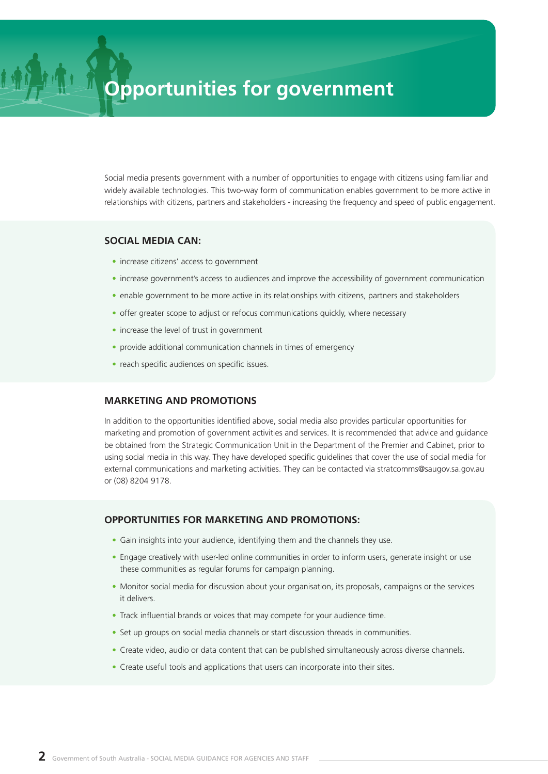## **Opportunities for government**

Social media presents government with a number of opportunities to engage with citizens using familiar and widely available technologies. This two-way form of communication enables government to be more active in relationships with citizens, partners and stakeholders - increasing the frequency and speed of public engagement.

#### **SOCIAL MEDIA CAN:**

- **•** increase citizens' access to government
- increase government's access to audiences and improve the accessibility of government communication
- enable government to be more active in its relationships with citizens, partners and stakeholders
- offer greater scope to adjust or refocus communications quickly, where necessary
- **•** increase the level of trust in government
- **•** provide additional communication channels in times of emergency
- **•** reach specific audiences on specific issues.

#### **MARKETING AND PROMOTIONS**

In addition to the opportunities identified above, social media also provides particular opportunities for marketing and promotion of government activities and services. It is recommended that advice and guidance be obtained from the Strategic Communication Unit in the Department of the Premier and Cabinet, prior to using social media in this way. They have developed specific guidelines that cover the use of social media for external communications and marketing activities. They can be contacted via stratcomms@saugov.sa.gov.au or (08) 8204 9178.

#### **OPPORTUNITIES FOR MARKETING AND PROMOTIONS:**

- **•** Gain insights into your audience, identifying them and the channels they use.
- **•** Engage creatively with user-led online communities in order to inform users, generate insight or use these communities as regular forums for campaign planning.
- **•** Monitor social media for discussion about your organisation, its proposals, campaigns or the services it delivers.
- **•** Track influential brands or voices that may compete for your audience time.
- **•** Set up groups on social media channels or start discussion threads in communities.
- **•** Create video, audio or data content that can be published simultaneously across diverse channels.
- Create useful tools and applications that users can incorporate into their sites.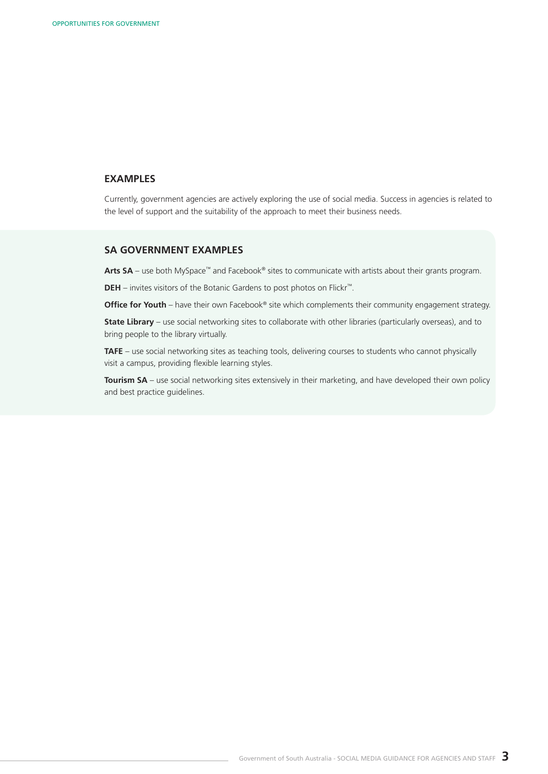#### **EXAMPLES**

Currently, government agencies are actively exploring the use of social media. Success in agencies is related to the level of support and the suitability of the approach to meet their business needs.

#### **SA GOVERNMENT EXAMPLES**

Arts SA – use both MySpace<sup>™</sup> and Facebook® sites to communicate with artists about their grants program.

**DEH** – invites visitors of the Botanic Gardens to post photos on Flickr™.

**Office for Youth** – have their own Facebook® site which complements their community engagement strategy.

**State Library** – use social networking sites to collaborate with other libraries (particularly overseas), and to bring people to the library virtually.

**TAFE** – use social networking sites as teaching tools, delivering courses to students who cannot physically visit a campus, providing flexible learning styles.

**Tourism SA** – use social networking sites extensively in their marketing, and have developed their own policy and best practice guidelines.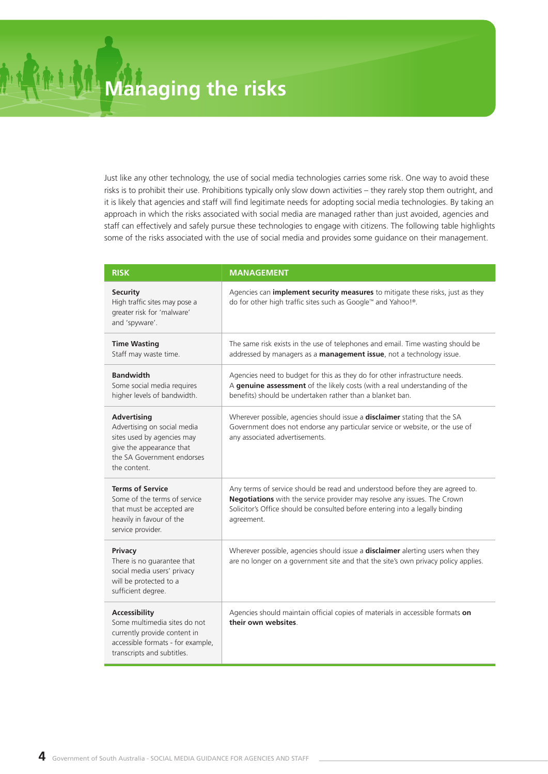Just like any other technology, the use of social media technologies carries some risk. One way to avoid these risks is to prohibit their use. Prohibitions typically only slow down activities – they rarely stop them outright, and it is likely that agencies and staff will find legitimate needs for adopting social media technologies. By taking an approach in which the risks associated with social media are managed rather than just avoided, agencies and staff can effectively and safely pursue these technologies to engage with citizens. The following table highlights some of the risks associated with the use of social media and provides some guidance on their management.

| <b>RISK</b>                                                                                                                                               | <b>MANAGEMENT</b>                                                                                                                                                                                                                                        |
|-----------------------------------------------------------------------------------------------------------------------------------------------------------|----------------------------------------------------------------------------------------------------------------------------------------------------------------------------------------------------------------------------------------------------------|
| <b>Security</b><br>High traffic sites may pose a<br>greater risk for 'malware'<br>and 'spyware'.                                                          | Agencies can <i>implement security measures</i> to mitigate these risks, just as they<br>do for other high traffic sites such as Google™ and Yahoo!®.                                                                                                    |
| <b>Time Wasting</b><br>Staff may waste time.                                                                                                              | The same risk exists in the use of telephones and email. Time wasting should be<br>addressed by managers as a management issue, not a technology issue.                                                                                                  |
| <b>Bandwidth</b><br>Some social media requires<br>higher levels of bandwidth.                                                                             | Agencies need to budget for this as they do for other infrastructure needs.<br>A genuine assessment of the likely costs (with a real understanding of the<br>benefits) should be undertaken rather than a blanket ban.                                   |
| <b>Advertising</b><br>Advertising on social media<br>sites used by agencies may<br>give the appearance that<br>the SA Government endorses<br>the content. | Wherever possible, agencies should issue a disclaimer stating that the SA<br>Government does not endorse any particular service or website, or the use of<br>any associated advertisements.                                                              |
| <b>Terms of Service</b><br>Some of the terms of service<br>that must be accepted are<br>heavily in favour of the<br>service provider.                     | Any terms of service should be read and understood before they are agreed to.<br>Negotiations with the service provider may resolve any issues. The Crown<br>Solicitor's Office should be consulted before entering into a legally binding<br>agreement. |
| Privacy<br>There is no guarantee that<br>social media users' privacy<br>will be protected to a<br>sufficient degree.                                      | Wherever possible, agencies should issue a disclaimer alerting users when they<br>are no longer on a government site and that the site's own privacy policy applies.                                                                                     |
| <b>Accessibility</b><br>Some multimedia sites do not<br>currently provide content in<br>accessible formats - for example,<br>transcripts and subtitles.   | Agencies should maintain official copies of materials in accessible formats on<br>their own websites.                                                                                                                                                    |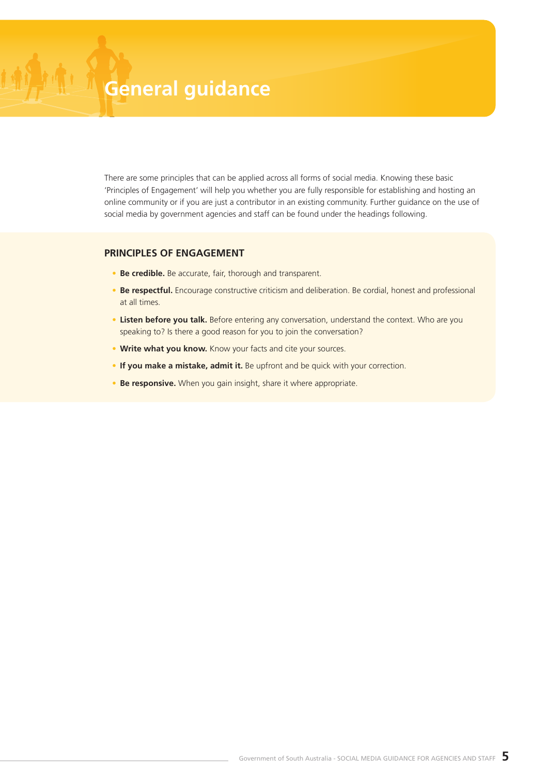# **General guidance**

There are some principles that can be applied across all forms of social media. Knowing these basic 'Principles of Engagement' will help you whether you are fully responsible for establishing and hosting an online community or if you are just a contributor in an existing community. Further guidance on the use of social media by government agencies and staff can be found under the headings following.

#### **PRINCIPLES OF ENGAGEMENT**

- **• Be credible.** Be accurate, fair, thorough and transparent.
- Be respectful. Encourage constructive criticism and deliberation. Be cordial, honest and professional at all times.
- **• Listen before you talk.** Before entering any conversation, understand the context. Who are you speaking to? Is there a good reason for you to join the conversation?
- **• Write what you know.** Know your facts and cite your sources.
- **•** If you make a mistake, admit it. Be upfront and be quick with your correction.
- **• Be responsive.** When you gain insight, share it where appropriate.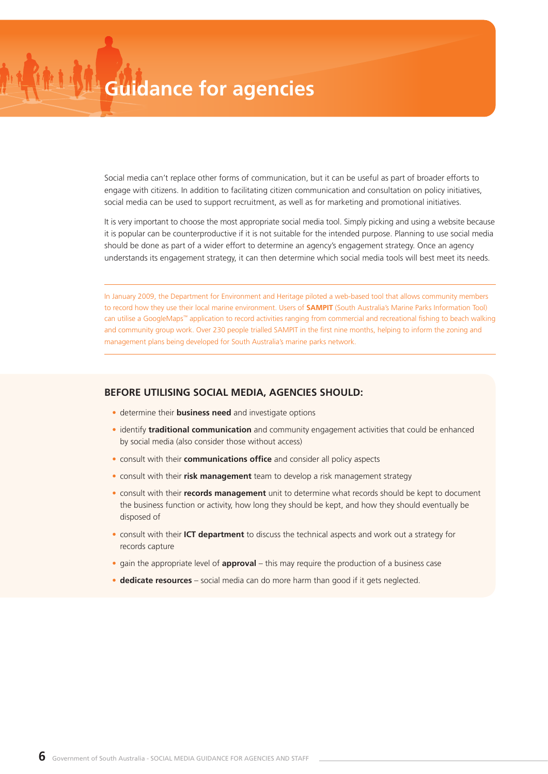Social media can't replace other forms of communication, but it can be useful as part of broader efforts to engage with citizens. In addition to facilitating citizen communication and consultation on policy initiatives, social media can be used to support recruitment, as well as for marketing and promotional initiatives.

It is very important to choose the most appropriate social media tool. Simply picking and using a website because it is popular can be counterproductive if it is not suitable for the intended purpose. Planning to use social media should be done as part of a wider effort to determine an agency's engagement strategy. Once an agency understands its engagement strategy, it can then determine which social media tools will best meet its needs.

In January 2009, the Department for Environment and Heritage piloted a web-based tool that allows community members to record how they use their local marine environment. Users of **SAMPIT** (South Australia's Marine Parks Information Tool) can utilise a GoogleMaps™ application to record activities ranging from commercial and recreational fishing to beach walking and community group work. Over 230 people trialled SAMPIT in the first nine months, helping to inform the zoning and management plans being developed for South Australia's marine parks network.

#### **BEFORE UTILISING SOCIAL MEDIA, AGENCIES SHOULD:**

- **•** determine their **business need** and investigate options
- **•** identify **traditional communication** and community engagement activities that could be enhanced by social media (also consider those without access)
- **•** consult with their **communications office** and consider all policy aspects
- **•** consult with their **risk management** team to develop a risk management strategy
- **•** consult with their **records management** unit to determine what records should be kept to document the business function or activity, how long they should be kept, and how they should eventually be disposed of
- **•** consult with their **ICT department** to discuss the technical aspects and work out a strategy for records capture
- **•** gain the appropriate level of **approval** this may require the production of a business case
- **• dedicate resources** social media can do more harm than good if it gets neglected.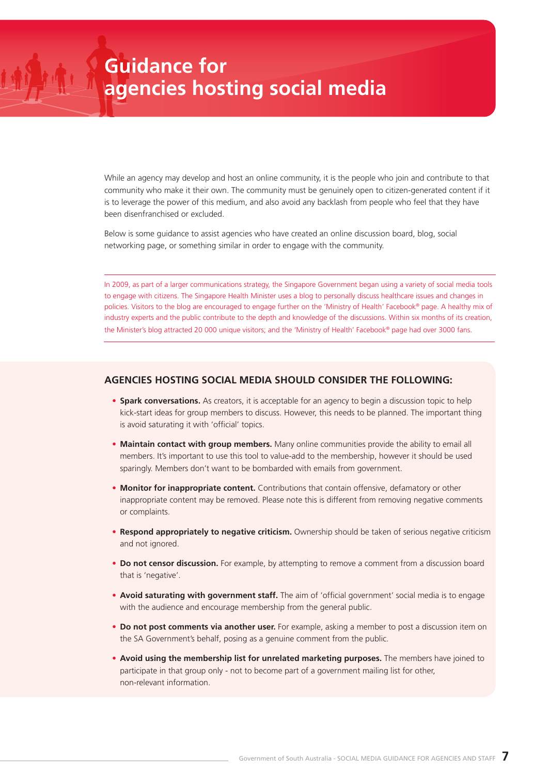While an agency may develop and host an online community, it is the people who join and contribute to that community who make it their own. The community must be genuinely open to citizen-generated content if it is to leverage the power of this medium, and also avoid any backlash from people who feel that they have been disenfranchised or excluded.

Below is some guidance to assist agencies who have created an online discussion board, blog, social networking page, or something similar in order to engage with the community.

In 2009, as part of a larger communications strategy, the Singapore Government began using a variety of social media tools to engage with citizens. The Singapore Health Minister uses a blog to personally discuss healthcare issues and changes in policies. Visitors to the blog are encouraged to engage further on the 'Ministry of Health' Facebook® page. A healthy mix of industry experts and the public contribute to the depth and knowledge of the discussions. Within six months of its creation, the Minister's blog attracted 20 000 unique visitors; and the 'Ministry of Health' Facebook® page had over 3000 fans.

#### **AGENCIES HOSTING SOCIAL MEDIA SHOULD CONSIDER THE FOLLOWING:**

- **• Spark conversations.** As creators, it is acceptable for an agency to begin a discussion topic to help kick-start ideas for group members to discuss. However, this needs to be planned. The important thing is avoid saturating it with 'official' topics.
- **• Maintain contact with group members.** Many online communities provide the ability to email all members. It's important to use this tool to value-add to the membership, however it should be used sparingly. Members don't want to be bombarded with emails from government.
- **• Monitor for inappropriate content.** Contributions that contain offensive, defamatory or other inappropriate content may be removed. Please note this is different from removing negative comments or complaints.
- **• Respond appropriately to negative criticism.** Ownership should be taken of serious negative criticism and not ignored.
- **• Do not censor discussion.** For example, by attempting to remove a comment from a discussion board that is 'negative'.
- **• Avoid saturating with government staff.** The aim of 'official government' social media is to engage with the audience and encourage membership from the general public.
- **• Do not post comments via another user.** For example, asking a member to post a discussion item on the SA Government's behalf, posing as a genuine comment from the public.
- **• Avoid using the membership list for unrelated marketing purposes.** The members have joined to participate in that group only - not to become part of a government mailing list for other, non-relevant information.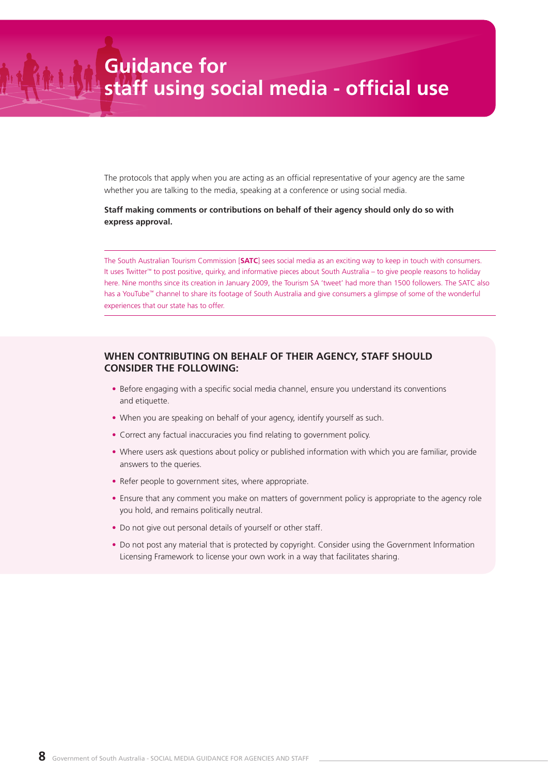The protocols that apply when you are acting as an official representative of your agency are the same whether you are talking to the media, speaking at a conference or using social media.

#### **Staff making comments or contributions on behalf of their agency should only do so with express approval.**

The South Australian Tourism Commission [**SATC**] sees social media as an exciting way to keep in touch with consumers. It uses Twitter™ to post positive, quirky, and informative pieces about South Australia – to give people reasons to holiday here. Nine months since its creation in January 2009, the Tourism SA 'tweet' had more than 1500 followers. The SATC also has a YouTube™ channel to share its footage of South Australia and give consumers a glimpse of some of the wonderful experiences that our state has to offer.

#### **WHEN CONTRIBUTING ON BEHALF OF THEIR AGENCY, STAFF SHOULD CONSIDER THE FOLLOWING:**

- **•** Before engaging with a specific social media channel, ensure you understand its conventions and etiquette.
- When you are speaking on behalf of your agency, identify yourself as such.
- **•** Correct any factual inaccuracies you find relating to government policy.
- **•** Where users ask questions about policy or published information with which you are familiar, provide answers to the queries.
- **•** Refer people to government sites, where appropriate.
- **•** Ensure that any comment you make on matters of government policy is appropriate to the agency role you hold, and remains politically neutral.
- **•** Do not give out personal details of yourself or other staff.
- **•** Do not post any material that is protected by copyright. Consider using the Government Information Licensing Framework to license your own work in a way that facilitates sharing.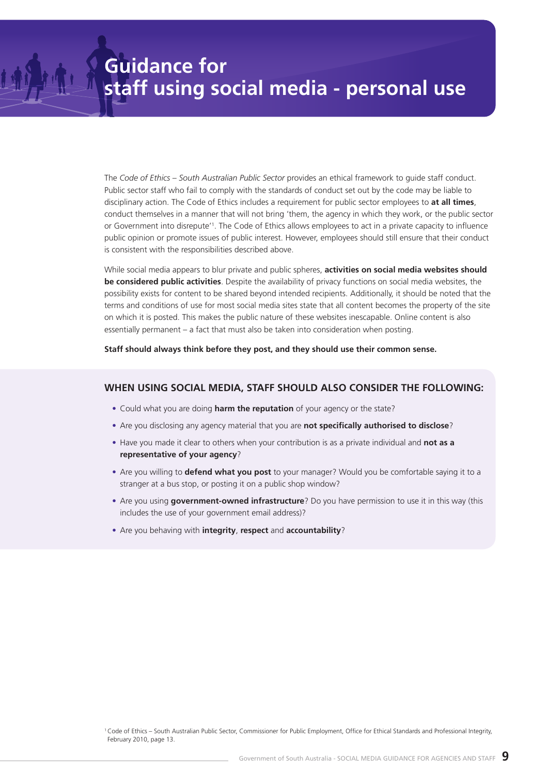The *Code of Ethics – South Australian Public Sector* provides an ethical framework to guide staff conduct. Public sector staff who fail to comply with the standards of conduct set out by the code may be liable to disciplinary action. The Code of Ethics includes a requirement for public sector employees to **at all times**, conduct themselves in a manner that will not bring 'them, the agency in which they work, or the public sector or Government into disrepute'1 . The Code of Ethics allows employees to act in a private capacity to influence public opinion or promote issues of public interest. However, employees should still ensure that their conduct is consistent with the responsibilities described above.

While social media appears to blur private and public spheres, **activities on social media websites should be considered public activities**. Despite the availability of privacy functions on social media websites, the possibility exists for content to be shared beyond intended recipients. Additionally, it should be noted that the terms and conditions of use for most social media sites state that all content becomes the property of the site on which it is posted. This makes the public nature of these websites inescapable. Online content is also essentially permanent – a fact that must also be taken into consideration when posting.

**Staff should always think before they post, and they should use their common sense.**

#### **WHEN USING SOCIAL MEDIA, STAFF SHOULD ALSO CONSIDER THE FOLLOWING:**

- **•** Could what you are doing **harm the reputation** of your agency or the state?
- **•** Are you disclosing any agency material that you are **not specifically authorised to disclose**?
- **•** Have you made it clear to others when your contribution is as a private individual and **not as a representative of your agency**?
- **•** Are you willing to **defend what you post** to your manager? Would you be comfortable saying it to a stranger at a bus stop, or posting it on a public shop window?
- **•** Are you using **government-owned infrastructure**? Do you have permission to use it in this way (this includes the use of your government email address)?
- **•** Are you behaving with **integrity**, **respect** and **accountability**?

<sup>1</sup> Code of Ethics – South Australian Public Sector, Commissioner for Public Employment, Office for Ethical Standards and Professional Integrity, February 2010, page 13.